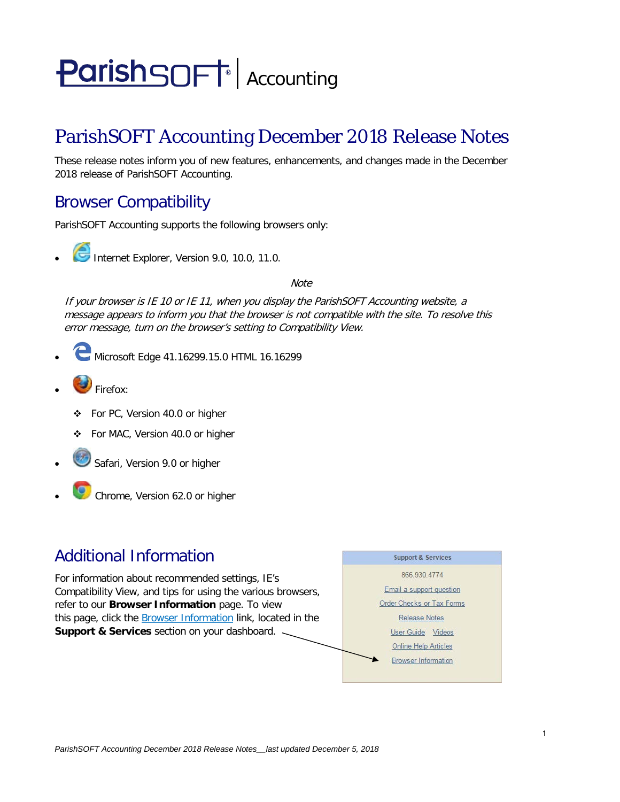# **ParishSOFT** Accounting

# ParishSOFT Accounting December 2018 Release Notes

These release notes inform you of new features, enhancements, and changes made in the December 2018 release of ParishSOFT Accounting.

## Browser Compatibility

ParishSOFT Accounting supports the following browsers only:

- 
- **Internet Explorer, Version 9.0, 10.0, 11.0.**

**Note** 

If your browser is IE 10 or IE 11, when you display the ParishSOFT Accounting website, a message appears to inform you that the browser is not compatible with the site. To resolve this error message, turn on the browser's setting to Compatibility View.

- Microsoft Edge 41.16299.15.0 HTML 16.16299
- **D** Firefox:
	- For PC, Version 40.0 or higher
	- For MAC, Version 40.0 or higher
- Safari, Version 9.0 or higher
- Chrome, Version 62.0 or higher

### Additional Information

For information about recommended settings, IE's Compatibility View, and tips for using the various browsers, refer to our **Browser Information** page. To view this page, click the **Browser Information** link, located in the **Support & Services** section on your dashboard.

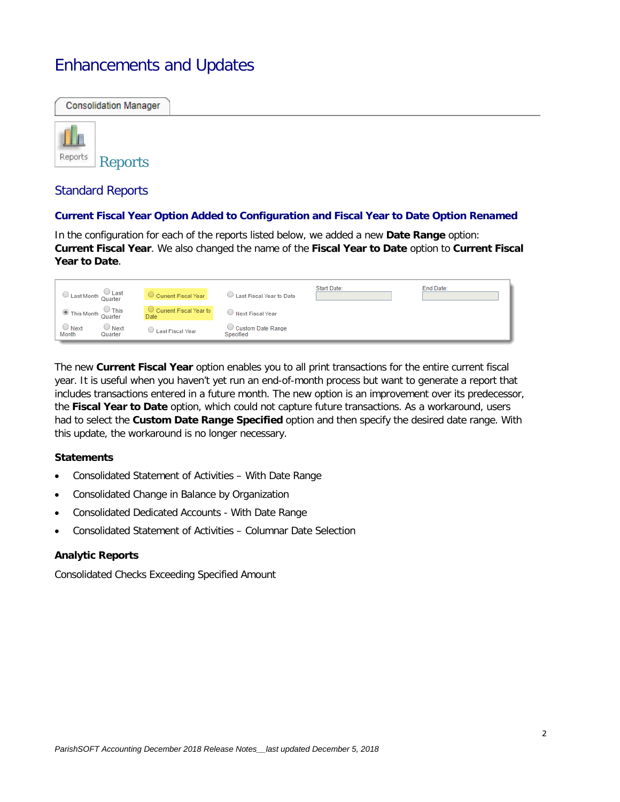# Enhancements and Updates

# **Consolidation Manager** Reports Reports Standard Reports

#### **Current Fiscal Year Option Added to Configuration and Fiscal Year to Date Option Renamed**

In the configuration for each of the reports listed below, we added a new **Date Range** option: **Current Fiscal Year**. We also changed the name of the **Fiscal Year to Date** option to **Current Fiscal Year to Date**.

| $\bigcirc$ Last Month Quarter |                        | <b>Current Fiscal Year</b>            | Last Fiscal Year to Date       | Start Date: | End Date: |
|-------------------------------|------------------------|---------------------------------------|--------------------------------|-------------|-----------|
| This Month Quarter            |                        | Current Fiscal Year to<br><b>Date</b> | <b>Next Fiscal Year</b>        |             |           |
| $\cup$ Next<br>Month          | $\cup$ Next<br>Quarter | <b>Last Fiscal Year</b>               | Custom Date Range<br>Specified |             |           |

The new **Current Fiscal Year** option enables you to all print transactions for the entire current fiscal year. It is useful when you haven't yet run an end-of-month process but want to generate a report that includes transactions entered in a future month. The new option is an improvement over its predecessor, the **Fiscal Year to Date** option, which could not capture future transactions. As a workaround, users had to select the **Custom Date Range Specified** option and then specify the desired date range. With this update, the workaround is no longer necessary.

#### **Statements**

- Consolidated Statement of Activities With Date Range
- Consolidated Change in Balance by Organization
- Consolidated Dedicated Accounts With Date Range
- Consolidated Statement of Activities Columnar Date Selection

#### **Analytic Reports**

Consolidated Checks Exceeding Specified Amount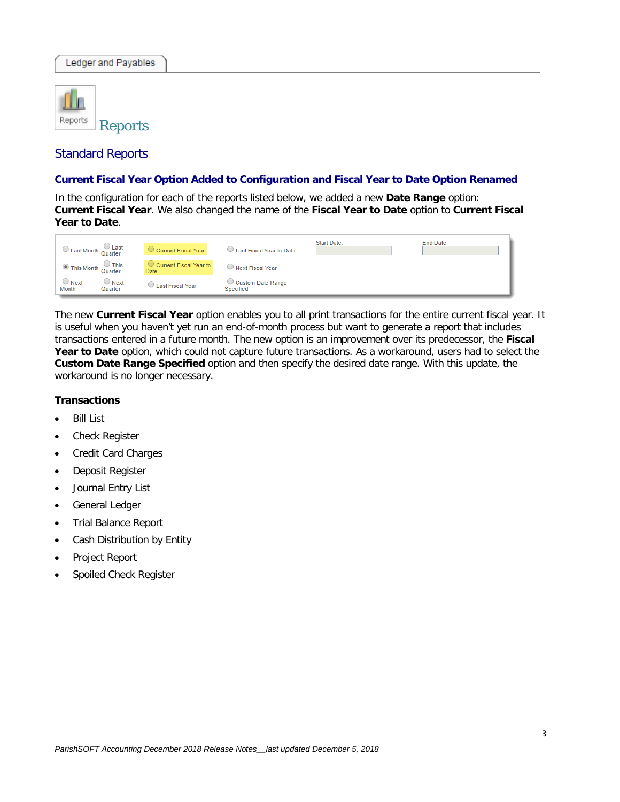

#### Standard Reports

#### **Current Fiscal Year Option Added to Configuration and Fiscal Year to Date Option Renamed**

In the configuration for each of the reports listed below, we added a new **Date Range** option: **Current Fiscal Year**. We also changed the name of the **Fiscal Year to Date** option to **Current Fiscal Year to Date**.



The new **Current Fiscal Year** option enables you to all print transactions for the entire current fiscal year. It is useful when you haven't yet run an end-of-month process but want to generate a report that includes transactions entered in a future month. The new option is an improvement over its predecessor, the **Fiscal**  Year to Date option, which could not capture future transactions. As a workaround, users had to select the **Custom Date Range Specified** option and then specify the desired date range. With this update, the workaround is no longer necessary.

#### **Transactions**

- **Bill List**
- Check Register
- Credit Card Charges
- Deposit Register
- Journal Entry List
- General Ledger
- Trial Balance Report
- Cash Distribution by Entity
- Project Report
- Spoiled Check Register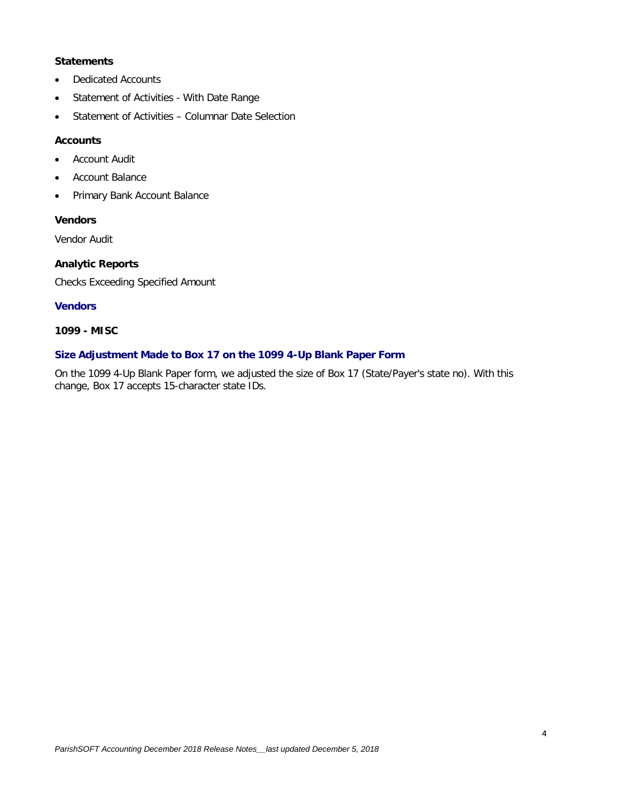#### **Statements**

- Dedicated Accounts
- Statement of Activities With Date Range
- Statement of Activities Columnar Date Selection

#### **Accounts**

- **Account Audit**
- Account Balance
- Primary Bank Account Balance

#### **Vendors**

Vendor Audit

#### **Analytic Reports**

Checks Exceeding Specified Amount

#### **Vendors**

#### **1099 - MISC**

#### **Size Adjustment Made to Box 17 on the 1099 4-Up Blank Paper Form**

On the 1099 4-Up Blank Paper form, we adjusted the size of Box 17 (State/Payer's state no). With this change, Box 17 accepts 15-character state IDs.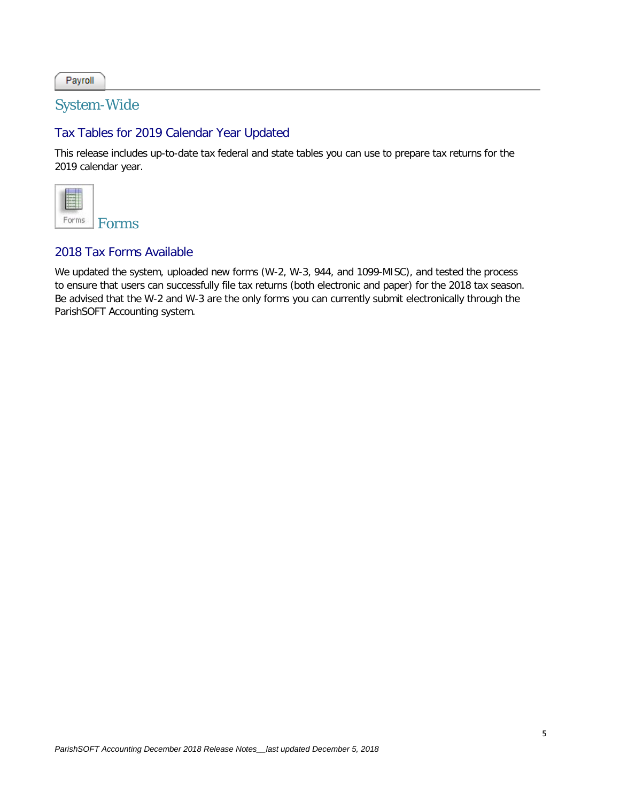Payroll

#### System-Wide

#### Tax Tables for 2019 Calendar Year Updated

This release includes up-to-date tax federal and state tables you can use to prepare tax returns for the 2019 calendar year.



#### 2018 Tax Forms Available

We updated the system, uploaded new forms (W-2, W-3, 944, and 1099-MISC), and tested the process to ensure that users can successfully file tax returns (both electronic and paper) for the 2018 tax season. Be advised that the W-2 and W-3 are the only forms you can currently submit electronically through the ParishSOFT Accounting system.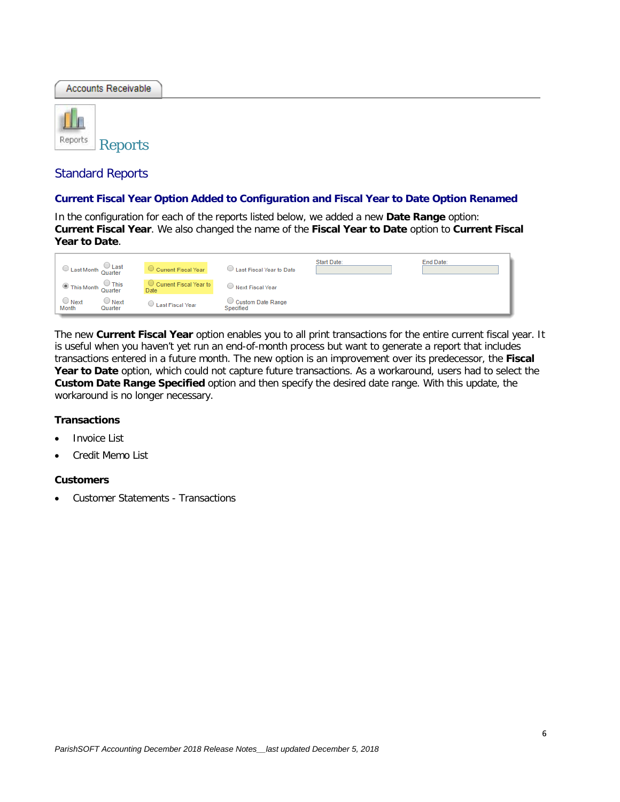**Accounts Receivable** 



#### Standard Reports

#### **Current Fiscal Year Option Added to Configuration and Fiscal Year to Date Option Renamed**

In the configuration for each of the reports listed below, we added a new **Date Range** option: **Current Fiscal Year**. We also changed the name of the **Fiscal Year to Date** option to **Current Fiscal Year to Date**.

| $\bigcirc$ Last Month Quarter                  | Current Fiscal Year            | Last Fiscal Year to Date       | Start Date: | End Date: |
|------------------------------------------------|--------------------------------|--------------------------------|-------------|-----------|
| This Month Quarter                             | Current Fiscal Year to<br>Date | Next Fiscal Year               |             |           |
| $\cup$ Next<br>$\cup$ Next<br>Month<br>Quarter | Last Fiscal Year               | Custom Date Range<br>Specified |             |           |

The new **Current Fiscal Year** option enables you to all print transactions for the entire current fiscal year. It is useful when you haven't yet run an end-of-month process but want to generate a report that includes transactions entered in a future month. The new option is an improvement over its predecessor, the **Fiscal Year to Date** option, which could not capture future transactions. As a workaround, users had to select the **Custom Date Range Specified** option and then specify the desired date range. With this update, the workaround is no longer necessary.

#### **Transactions**

- Invoice List
- Credit Memo List

#### **Customers**

• Customer Statements - Transactions